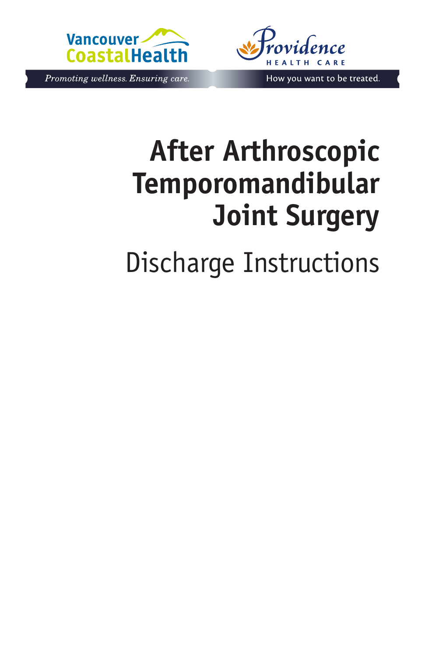



Promoting wellness. Ensuring care.

How you want to be treated.

# **After Arthroscopic Temporomandibular Joint Surgery**

Discharge Instructions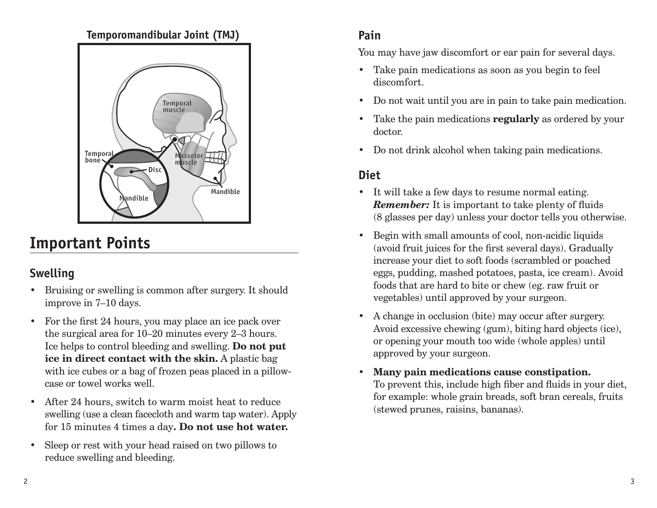#### **Temporomandibular Joint (TMJ)**



## **Important Points**

#### **Swelling**

- Bruising or swelling is common after surgery. It should improve in 7–10 days.
- For the first 24 hours, you may place an ice pack over the surgical area for 10–20 minutes every 2–3 hours. Ice helps to control bleeding and swelling. **Do not put ice in direct contact with the skin.** A plastic bag with ice cubes or a bag of frozen peas placed in a pillowcase or towel works well.
- After 24 hours, switch to warm moist heat to reduce swelling (use a clean facecloth and warm tap water). Apply for 15 minutes 4 times a day**. Do not use hot water.**
- Sleep or rest with your head raised on two pillows to reduce swelling and bleeding.

#### **Pain**

You may have jaw discomfort or ear pain for several days.

- Take pain medications as soon as you begin to feel discomfort.
- Do not wait until you are in pain to take pain medication.
- Take the pain medications **regularly** as ordered by your doctor.
- Do not drink alcohol when taking pain medications.

#### **Diet**

- It will take a few days to resume normal eating. *Remember:* It is important to take plenty of fluids (8 glasses per day) unless your doctor tells you otherwise.
- Begin with small amounts of cool, non-acidic liquids (avoid fruit juices for the first several days). Gradually increase your diet to soft foods (scrambled or poached eggs, pudding, mashed potatoes, pasta, ice cream). Avoid foods that are hard to bite or chew (eg. raw fruit or vegetables) until approved by your surgeon.
- A change in occlusion (bite) may occur after surgery. Avoid excessive chewing (gum), biting hard objects (ice), or opening your mouth too wide (whole apples) until approved by your surgeon.
- **Many pain medications cause constipation.** To prevent this, include high fiber and fluids in your diet, for example: whole grain breads, soft bran cereals, fruits (stewed prunes, raisins, bananas).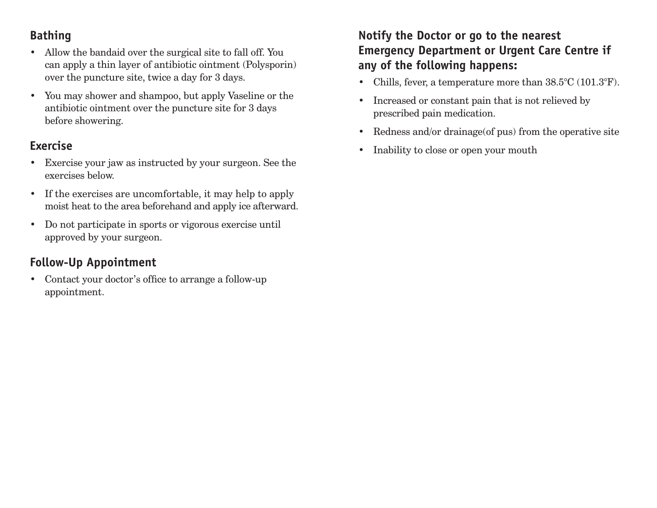#### **Bathing**

- Allow the bandaid over the surgical site to fall off. You can apply a thin layer of antibiotic ointment (Polysporin) over the puncture site, twice a day for 3 days.
- You may shower and shampoo, but apply Vaseline or the antibiotic ointment over the puncture site for 3 days before showering.

#### **Exercise**

- Exercise your jaw as instructed by your surgeon. See the exercises below.
- If the exercises are uncomfortable, it may help to apply moist heat to the area beforehand and apply ice afterward.
- Do not participate in sports or vigorous exercise until approved by your surgeon.

### **Follow-Up Appointment**

• Contact your doctor's office to arrange a follow-up appointment.

#### **Notify the Doctor or go to the nearest Emergency Department or Urgent Care Centre if any of the following happens:**

- Chills, fever, a temperature more than  $38.5^{\circ}$ C (101.3°F).
- Increased or constant pain that is not relieved by prescribed pain medication.
- Redness and/or drainage (of pus) from the operative site
- Inability to close or open your mouth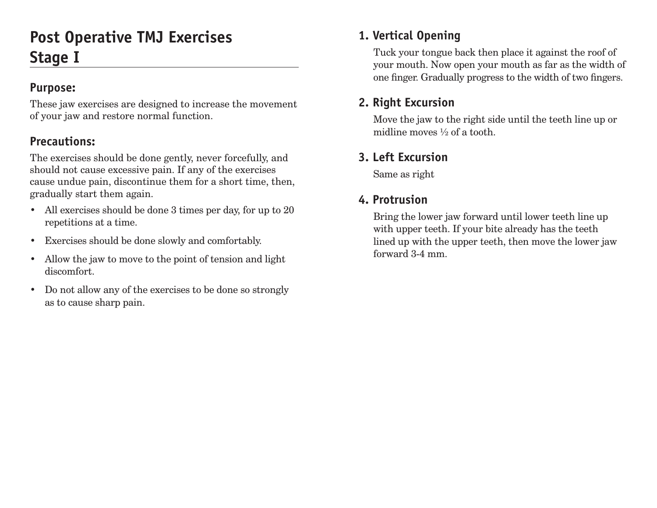## **Post Operative TMJ Exercises Stage I**

#### **Purpose:**

These jaw exercises are designed to increase the movement of your jaw and restore normal function.

#### **Precautions:**

The exercises should be done gently, never forcefully, and should not cause excessive pain. If any of the exercises cause undue pain, discontinue them for a short time, then, gradually start them again.

- All exercises should be done 3 times per day, for up to 20 repetitions at a time.
- Exercises should be done slowly and comfortably.
- Allow the jaw to move to the point of tension and light discomfort.
- Do not allow any of the exercises to be done so strongly as to cause sharp pain.

#### **1. Vertical Opening**

Tuck your tongue back then place it against the roof of your mouth. Now open your mouth as far as the width of one finger. Gradually progress to the width of two fingers.

#### **2. Right Excursion**

Move the jaw to the right side until the teeth line up or midline moves ½ of a tooth.

### **3. Left Excursion**

Same as right

#### **4. Protrusion**

Bring the lower jaw forward until lower teeth line up with upper teeth. If your bite already has the teeth lined up with the upper teeth, then move the lower jaw forward 3-4 mm.